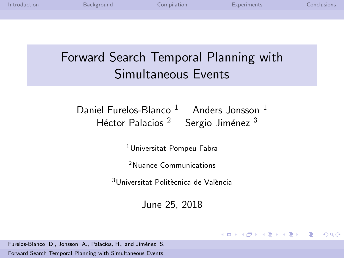| Introduction | Background                                   | Compilation                           |                                                          | Experiments | Conclusions |
|--------------|----------------------------------------------|---------------------------------------|----------------------------------------------------------|-------------|-------------|
|              |                                              |                                       |                                                          |             |             |
|              |                                              |                                       |                                                          |             |             |
|              |                                              |                                       |                                                          |             |             |
|              | Forward Search Temporal Planning with        |                                       | Simultaneous Events                                      |             |             |
|              | Daniel Furelos-Blanco $1$ Anders Jonsson $1$ |                                       | Héctor Palacios <sup>2</sup> Sergio Jiménez <sup>3</sup> |             |             |
|              |                                              | <sup>1</sup> Universitat Pompeu Fabra |                                                          |             |             |

<sup>2</sup>Nuance Communications

 $3$ Universitat Politècnica de València

June 25, 2018

<span id="page-0-0"></span>K ロ ▶ K @ ▶ K 할 ▶ K 할 ▶ → 할 → 9 Q @

Furelos-Blanco, D., Jonsson, A., Palacios, H., and Jiménez, S.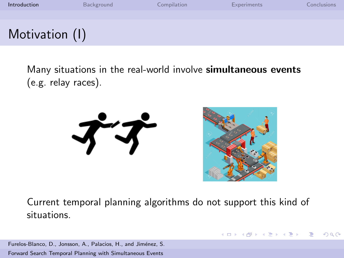| Introduction   | Background | Compilation | <b>Experiments</b> | Conclusions: |
|----------------|------------|-------------|--------------------|--------------|
|                |            |             |                    |              |
| Motivation (I) |            |             |                    |              |

Many situations in the real-world involve **simultaneous events** (e.g. relay races).





 $\mathcal{A} \subseteq \mathcal{P} \rightarrow \mathcal{A} \oplus \mathcal{P} \rightarrow \mathcal{A} \oplus \mathcal{P} \rightarrow \mathcal{A}$ 

<span id="page-1-0"></span> $\Omega$ 

Current temporal planning algorithms do not support this kind of situations.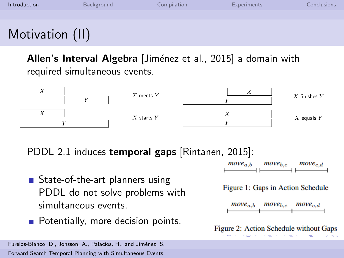| Introduction    | Background | Compilation | <b>Experiments</b> | Conclusions |
|-----------------|------------|-------------|--------------------|-------------|
|                 |            |             |                    |             |
| Motivation (II) |            |             |                    |             |

Allen's Interval Algebra [Jiménez et al., 2015] a domain with required simultaneous events.



PDDL 2.1 induces temporal gaps [\[Rintanen, 2015\]](#page-23-1):

- State-of-the-art planners using PDDL do not solve problems with simultaneous events.
- **Potentially, more decision points.**

Furelos-Blanco, D., Jonsson, A., Palacios, H., and Jiménez, S. [Forward Search Temporal Planning with Simultaneous Events](#page-0-0)



Figure 1: Gaps in Action Schedule



Figure 2: Action Schedule without Gaps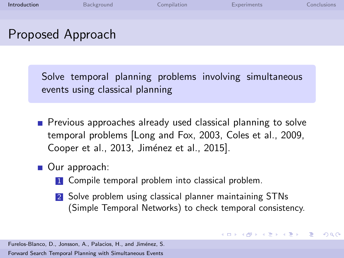| Introduction      | Background | Compilation | <b>Experiments</b> | Conclusions |
|-------------------|------------|-------------|--------------------|-------------|
|                   |            |             |                    |             |
| Proposed Approach |            |             |                    |             |

Solve temporal planning problems involving simultaneous events using classical planning

- **Previous approaches already used classical planning to solve** temporal problems [\[Long and Fox, 2003,](#page-22-1) [Coles et al., 2009,](#page-21-0) [Cooper et al., 2013,](#page-21-1) Jiménez et al., 2015].
- Our approach:
	- 1 Compile temporal problem into classical problem.
	- 2 Solve problem using classical planner maintaining STNs (Simple Temporal Networks) to check temporal consistency.

イロメ イ何メ イヨメ イヨメート

 $\Omega$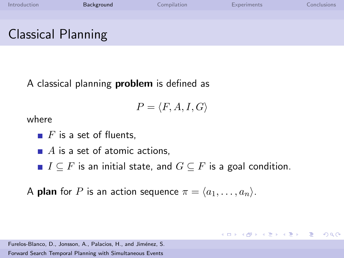| Introduction              | Background | Compilation | <b>Experiments</b> | Conclusions |
|---------------------------|------------|-------------|--------------------|-------------|
|                           |            |             |                    |             |
| <b>Classical Planning</b> |            |             |                    |             |

A classical planning problem is defined as

$$
P = \langle F, A, I, G \rangle
$$

where

 $\blacksquare$  F is a set of fluents,

 $\blacksquare$  A is a set of atomic actions,

■  $I \subseteq F$  is an initial state, and  $G \subseteq F$  is a goal condition.

<span id="page-4-0"></span>K ロ ▶ K @ ▶ K 할 ▶ K 할 ▶ → 할 → 9 Q Q\*

A **plan** for P is an action sequence  $\pi = \langle a_1, \ldots, a_n \rangle$ .

Furelos-Blanco, D., Jonsson, A., Palacios, H., and Jiménez, S.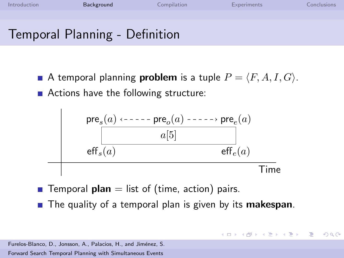Temporal Planning - Definition

A temporal planning **problem** is a tuple  $P = \langle F, A, I, G \rangle$ . ■ Actions have the following structure:



- **Temporal plan** = list of (time, action) pairs.
- $\blacksquare$  The quality of a temporal plan is given by its makespan.

イロト イ押 トイヨ トイヨ トー

 $\equiv$ 

 $\Omega$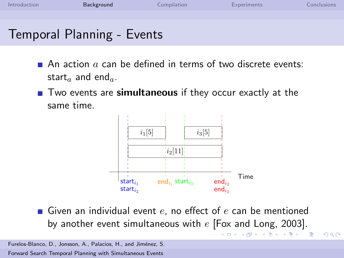

- An action a can be defined in terms of two discrete events: start<sub>a</sub> and end<sub>a</sub>.
- Two events are simultaneous if they occur exactly at the same time.



Given an individual event  $e$ , no effect of  $e$  can be mentioned by another event simultaneous with  $e$  [\[Fox and Long, 2003\]](#page-21-2).

 $2990$ 

重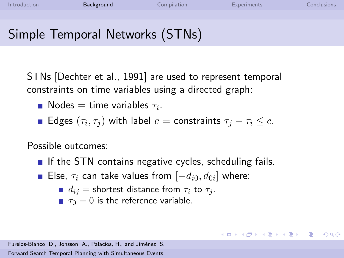### Simple Temporal Networks (STNs)

STNs [\[Dechter et al., 1991\]](#page-21-3) are used to represent temporal constraints on time variables using a directed graph:

- Nodes  $=$  time variables  $\tau_i$ .
- Edges  $(\tau_i, \tau_j)$  with label  $c =$  constraints  $\tau_j \tau_i \leq c$ .

Possible outcomes:

If the STN contains negative cycles, scheduling fails.

KED KARD KED KED E VOQO

- Else,  $\tau_i$  can take values from  $[-d_{i0},d_{0i}]$  where:
	- $d_{ij}$  = shortest distance from  $\tau_i$  to  $\tau_j$ .
	- $\tau_0 = 0$  is the reference variable.

Furelos-Blanco, D., Jonsson, A., Palacios, H., and Jiménez, S.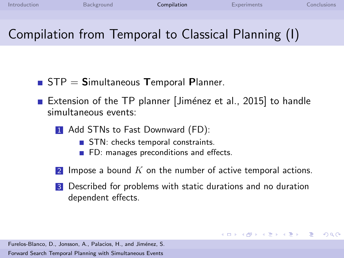イロメ イ押メ イヨメ イヨメー

<span id="page-8-0"></span>G.  $\Omega$ 

# Compilation from Temporal to Classical Planning (I)

- $\blacksquare$  STP = Simultaneous Temporal Planner.
- Extension of the TP planner | Jiménez et al., 2015] to handle simultaneous events:
	- 1 Add STNs to Fast Downward (FD):
		- STN: checks temporal constraints.
		- **FD:** manages preconditions and effects.
	- Impose a bound  $K$  on the number of active temporal actions.
	- 3 Described for problems with static durations and no duration dependent effects.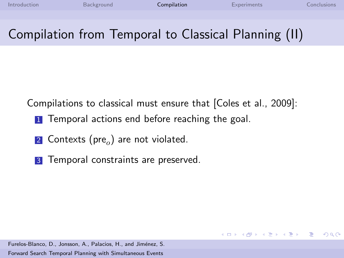イロメ イ押メ イヨメ イヨメー

G.

 $\Omega$ 

### Compilation from Temporal to Classical Planning (II)

Compilations to classical must ensure that [\[Coles et al., 2009\]](#page-21-0):

- **1** Temporal actions end before reaching the goal.
- $\overline{\textbf{2}}$  Contexts (pre $_o$ ) are not violated.
- **3** Temporal constraints are preserved.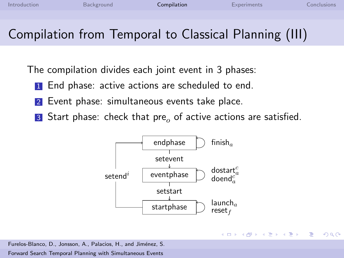$\left\{ \begin{array}{ccc} 1 & 0 & 0 \\ 0 & 1 & 0 \end{array} \right.$ 

重

 $\Omega$ 

### Compilation from Temporal to Classical Planning (III)

The compilation divides each joint event in 3 phases:

- **1** End phase: active actions are scheduled to end.
- 2 Event phase: simultaneous events take place.
- 3 Start phase: check that pre<sub>o</sub> of active actions are satisfied.

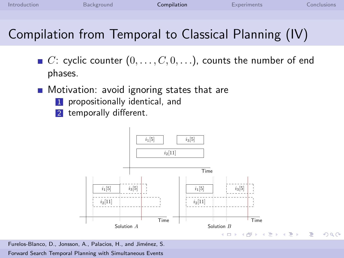### Compilation from Temporal to Classical Planning (IV)

- $\blacksquare$  C: cyclic counter  $(0, \ldots, C, 0, \ldots)$ , counts the number of end phases.
- **Motivation: avoid ignoring states that are** 
	- 1 propositionally identical, and
	- 2 temporally different.

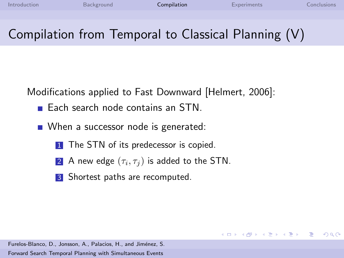メロメ メ御 メメ きょくきょう

 $\equiv$ 

 $\Omega$ 

# Compilation from Temporal to Classical Planning (V)

Modifications applied to Fast Downward [\[Helmert, 2006\]](#page-22-2):

- $\blacksquare$  Each search node contains an STN.
- When a successor node is generated:
	- 1 The STN of its predecessor is copied.
	- $\textsf{2}$   $\,$  A new edge  $(\tau_i,\tau_j)$  is added to the STN.
	- **3** Shortest paths are recomputed.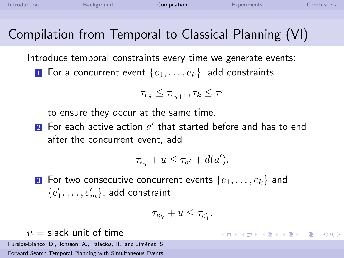$\left\{ \begin{array}{ccc} \square & \times & \overline{\square} & \times \end{array} \right.$   $\left\{ \begin{array}{ccc} \square & \times & \times & \overline{\square} & \times \end{array} \right.$ 

 $\equiv$ 

 $\Omega$ 

### Compilation from Temporal to Classical Planning (VI)

Introduce temporal constraints every time we generate events: **1** For a concurrent event  $\{e_1, \ldots, e_k\}$ , add constraints

$$
\tau_{e_j} \leq \tau_{e_{j+1}}, \tau_k \leq \tau_1
$$

to ensure they occur at the same time.

 $\overline{\mathbf{2}}$  For each active action  $a'$  that started before and has to end after the concurrent event, add

$$
\tau_{e_j} + u \leq \tau_{a'} + d(a').
$$

**3** For two consecutive concurrent events  $\{e_1, \ldots, e_k\}$  and  $\{e'_1,\ldots,e'_m\}$ , add constraint

$$
\tau_{e_k} + u \leq \tau_{e'_1}.
$$

 $u =$  slack unit of time

Furelos-Blanco, D., Jonsson, A., Palacios, H., and Jiménez, S.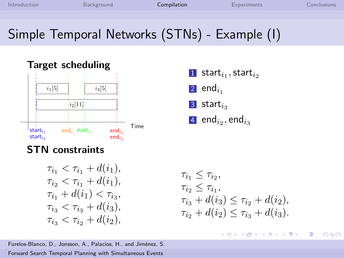## Simple Temporal Networks (STNs) - Example (I)



#### Target scheduling

 starti<sup>1</sup> ,starti<sup>2</sup> end<sub>i1</sub> start $_{i_3}$  $\,$  end $_{i_2},$  end $_{i_3}$ 

#### STN constraints

$$
\tau_{i_1} < \tau_{i_1} + d(i_1),
$$
\n
$$
\tau_{i_2} < \tau_{i_1} + d(i_1),
$$
\n
$$
\tau_{i_1} + d(i_1) < \tau_{i_3},
$$
\n
$$
\tau_{i_3} < \tau_{i_3} + d(i_3),
$$
\n
$$
\tau_{i_3} < \tau_{i_2} + d(i_2),
$$

Furelos-Blanco, D., Jonsson, A., Palacios, H., and Jiménez, S. [Forward Search Temporal Planning with Simultaneous Events](#page-0-0)

$$
\tau_{i_1} \le \tau_{i_2},
$$
  
\n
$$
\tau_{i_2} \le \tau_{i_1},
$$
  
\n
$$
\tau_{i_3} + d(i_3) \le \tau_{i_2} + d(i_2),
$$
  
\n
$$
\tau_{i_2} + d(i_2) \le \tau_{i_3} + d(i_3).
$$

イロト イ押 トイヨ トイヨ トー E  $2990$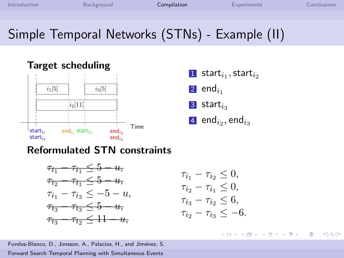### Simple Temporal Networks (STNs) - Example (II)



| 1 start $i_1$ , start $i_2$   |
|-------------------------------|
| $\vert$ 2 end <sub>i</sub>    |
| $3$ start $_{i_3}$            |
| 4 end $_{i_2}$ , end $_{i_3}$ |

#### Reformulated STN constraints



$$
\tau_{i_1} - \tau_{i_2} \le 0,
$$
  
\n
$$
\tau_{i_2} - \tau_{i_1} \le 0,
$$
  
\n
$$
\tau_{i_3} - \tau_{i_2} \le 6,
$$
  
\n
$$
\tau_{i_2} - \tau_{i_3} \le -6.
$$

イロト イ押 トイヨ トイヨ トー

E

 $2990$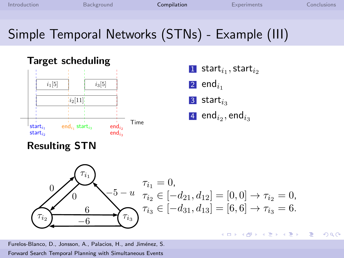$\Omega$ 

## Simple Temporal Networks (STNs) - Example (III)



#### Target scheduling



#### Resulting STN

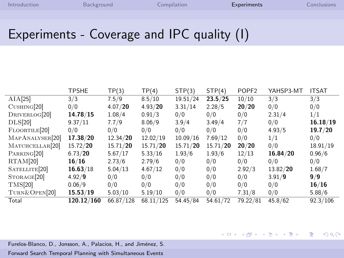#### Experiments - Coverage and IPC quality (I)

|                             | <b>TPSHE</b> | TP(3)     | TP(4)     | STP(3)   | STP(4)   | POPF <sub>2</sub> | YAHSP3-MT | <b>ITSAT</b> |
|-----------------------------|--------------|-----------|-----------|----------|----------|-------------------|-----------|--------------|
| AIA[25]                     | 3/3          | 7.5/9     | 8.5/10    | 19.51/24 | 23.5/25  | 10/10             | 3/3       | 3/3          |
| CUSHING[20]                 | 0/0          | 4.07/20   | 4.93/20   | 3.31/14  | 2.28/5   | 20/20             | 0/0       | 0/0          |
| DRIVERLOG[20]               | 14.78/15     | 1.08/4    | 0.91/3    | 0/0      | 0/0      | 0/0               | 2.31/4    | 1/1          |
| DLS[20]                     | 9.37/11      | 7.7/9     | 8.06/9    | 3.9/4    | 3.49/4   | 7/7               | 0/0       | 16.18/19     |
| FLOORTILE <sup>[20]</sup>   | 0/0          | 0/0       | 0/0       | 0/0      | 0/0      | 0/0               | 4.93/5    | 19.7/20      |
| MAPANALYSER <sup>[20]</sup> | 17.38/20     | 12.34/20  | 12.02/19  | 10.09/16 | 7.69/12  | 0/0               | 1/1       | 0/0          |
| MATCHCELLAR <sup>[20]</sup> | 15.72/20     | 15.71/20  | 15.71/20  | 15.71/20 | 15.71/20 | 20/20             | 0/0       | 18.91/19     |
| PARKING[20]                 | 6.73/20      | 5.67/17   | 5.33/16   | 1.93/6   | 1.93/6   | 12/13             | 16.84/20  | 0.96/6       |
| RTAM[20]                    | 16/16        | 2.73/6    | 2.79/6    | 0/0      | 0/0      | 0/0               | 0/0       | 0/0          |
| SATELLITE <sup>[20]</sup>   | 16.63/18     | 5.04/13   | 4.67/12   | 0/0      | 0/0      | 2.92/3            | 13.82/20  | 1.68/7       |
| STORAGE <sup>[20]</sup>     | 4.92/9       | 0/0       | 0/0       | 0/0      | 0/0      | 0/0               | 3.91/9    | 9/9          |
| <b>TMS[20]</b>              | 0.06/9       | 0/0       | 0/0       | 0/0      | 0/0      | 0/0               | 0/0       | 16/16        |
| TURN&OPEN <sup>[20]</sup>   | 15.53/19     | 5.03/10   | 5.19/10   | 0/0      | 0/0      | 7.31/8            | 0/0       | 5.88/6       |
| Total                       | 120.12/160   | 66.87/128 | 68.11/125 | 54.45/84 | 54.61/72 | 79.22/81          | 45.8/62   | 92.3/106     |

Furelos-Blanco, D., Jonsson, A., Palacios, H., and Jiménez, S.

[Forward Search Temporal Planning with Simultaneous Events](#page-0-0)

<span id="page-17-0"></span>メロメ メ都 メメ きょうくぼ メー  $\equiv$   $\Omega$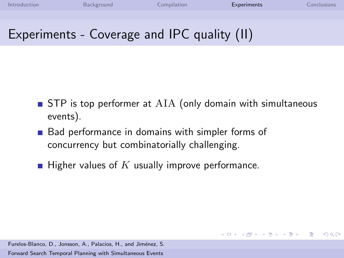イロメ イ団メ イモメ イモメー

G.  $\Omega$ 

#### Experiments - Coverage and IPC quality (II)

- $\blacksquare$  STP is top performer at AIA (only domain with simultaneous events).
- Bad performance in domains with simpler forms of concurrency but combinatorially challenging.
- **Higher values of K usually improve performance.**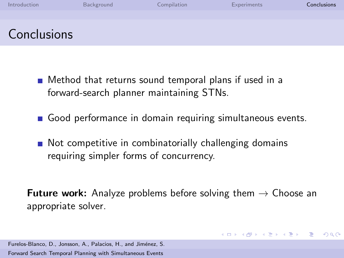| Introduction | Background | Compilation | Experiments | Conclusions |
|--------------|------------|-------------|-------------|-------------|
|              |            |             |             |             |
| Conclusions  |            |             |             |             |

- Method that returns sound temporal plans if used in a forward-search planner maintaining STNs.
- Good performance in domain requiring simultaneous events.
- Not competitive in combinatorially challenging domains requiring simpler forms of concurrency.

**Future work:** Analyze problems before solving them  $\rightarrow$  Choose an appropriate solver.

<span id="page-19-0"></span>KED KARD KED KED E VOQO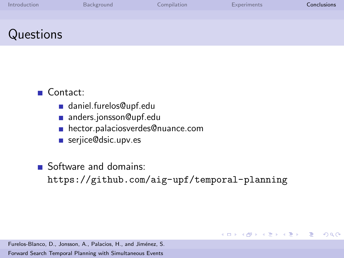| Introduction | Background | Compilation | <b>Experiments</b> | <b>Conclusions</b> |
|--------------|------------|-------------|--------------------|--------------------|
|              |            |             |                    |                    |
| Questions    |            |             |                    |                    |

#### Contact:

- daniel.furelos@upf.edu
- anders.jonsson@upf.edu
- hector.palaciosverdes@nuance.com
- serjice@dsic.upv.es

Software and domains:

<https://github.com/aig-upf/temporal-planning>

KED KARD KED KED E VOQO

Furelos-Blanco, D., Jonsson, A., Palacios, H., and Jiménez, S.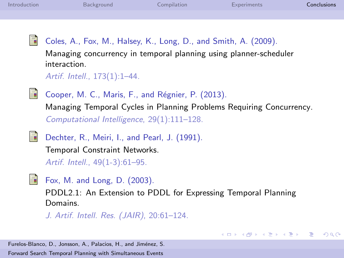<span id="page-21-0"></span>ā.

Coles, A., Fox, M., Halsey, K., Long, D., and Smith, A. (2009).

Managing concurrency in temporal planning using planner-scheduler interaction.

Artif. Intell., 173(1):1–44.

<span id="page-21-1"></span>

<span id="page-21-3"></span>E.

Cooper, M. C., Maris, F., and Régnier, P. (2013). Managing Temporal Cycles in Planning Problems Requiring Concurrency. Computational Intelligence, 29(1):111–128.

Dechter, R., Meiri, I., and Pearl, J. (1991).

Temporal Constraint Networks. Artif. Intell., 49(1-3):61–95.

<span id="page-21-2"></span>螶 Fox, M. and Long, D. (2003).

> PDDL2.1: An Extension to PDDL for Expressing Temporal Planning Domains.

> > イロト イ押 トイヨ トイヨ トー

重

 $\Omega$ 

J. Artif. Intell. Res. (JAIR), 20:61–124.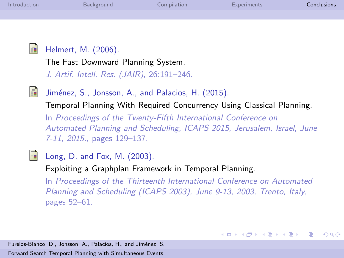<span id="page-22-2"></span><span id="page-22-0"></span>

| Introduction | Background                                                                                                                                                                                                                                                                                             | Compilation | <b>Experiments</b> | Conclusions |
|--------------|--------------------------------------------------------------------------------------------------------------------------------------------------------------------------------------------------------------------------------------------------------------------------------------------------------|-------------|--------------------|-------------|
|              |                                                                                                                                                                                                                                                                                                        |             |                    |             |
| ē.           | Helmert, M. (2006).<br>The Fast Downward Planning System.<br>J. Artif. Intell. Res. (JAIR), 26:191-246.                                                                                                                                                                                                |             |                    |             |
| F.           | Jiménez, S., Jonsson, A., and Palacios, H. (2015).<br>Temporal Planning With Required Concurrency Using Classical Planning.<br>In Proceedings of the Twenty-Fifth International Conference on<br>Automated Planning and Scheduling, ICAPS 2015, Jerusalem, Israel, June<br>7-11, 2015., pages 129-137. |             |                    |             |
|              | Long, D. and Fox, M. (2003).                                                                                                                                                                                                                                                                           |             |                    |             |

<span id="page-22-1"></span>Exploiting a Graphplan Framework in Temporal Planning.

In Proceedings of the Thirteenth International Conference on Automated Planning and Scheduling (ICAPS 2003), June 9-13, 2003, Trento, Italy, pages 52–61.

KID KAR KERKER E KARA